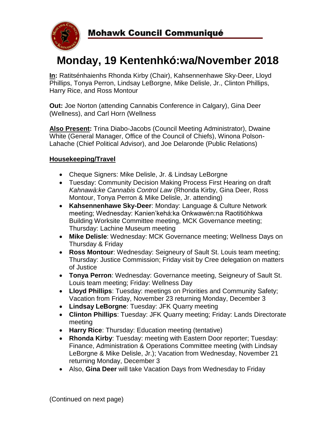

# **Monday, 19 Kentenhkó:wa/November 2018**

**In:** Ratitsénhaienhs Rhonda Kirby (Chair), Kahsennenhawe Sky-Deer, Lloyd Phillips, Tonya Perron, Lindsay LeBorgne, Mike Delisle, Jr., Clinton Phillips, Harry Rice, and Ross Montour

**Out:** Joe Norton (attending Cannabis Conference in Calgary), Gina Deer (Wellness), and Carl Horn (Wellness

**Also Present:** Trina Diabo-Jacobs (Council Meeting Administrator), Dwaine White (General Manager, Office of the Council of Chiefs), Winona Polson-Lahache (Chief Political Advisor), and Joe Delaronde (Public Relations)

#### **Housekeeping/Travel**

- Cheque Signers: Mike Delisle, Jr. & Lindsay LeBorgne
- Tuesday: Community Decision Making Process First Hearing on draft *Kahnawà:ke Cannabis Control Law* (Rhonda Kirby, Gina Deer, Ross Montour, Tonya Perron & Mike Delisle, Jr. attending)
- **Kahsennenhawe Sky-Deer**: Monday: Language & Culture Network meeting; Wednesday: Kanien'kehá:ka Onkwawén:na Raotitióhkwa Building Worksite Committee meeting, MCK Governance meeting; Thursday: Lachine Museum meeting
- **Mike Delisle**: Wednesday: MCK Governance meeting; Wellness Days on Thursday & Friday
- **Ross Montour**: Wednesday: Seigneury of Sault St. Louis team meeting; Thursday: Justice Commission; Friday visit by Cree delegation on matters of Justice
- **Tonya Perron**: Wednesday: Governance meeting, Seigneury of Sault St. Louis team meeting; Friday: Wellness Day
- **Lloyd Phillips**: Tuesday: meetings on Priorities and Community Safety; Vacation from Friday, November 23 returning Monday, December 3
- **Lindsay LeBorgne**: Tuesday: JFK Quarry meeting
- **Clinton Phillips**: Tuesday: JFK Quarry meeting; Friday: Lands Directorate meeting
- **Harry Rice**: Thursday: Education meeting (tentative)
- **Rhonda Kirby**: Tuesday: meeting with Eastern Door reporter; Tuesday: Finance, Administration & Operations Committee meeting (with Lindsay LeBorgne & Mike Delisle, Jr.); Vacation from Wednesday, November 21 returning Monday, December 3
- Also, **Gina Deer** will take Vacation Days from Wednesday to Friday

(Continued on next page)